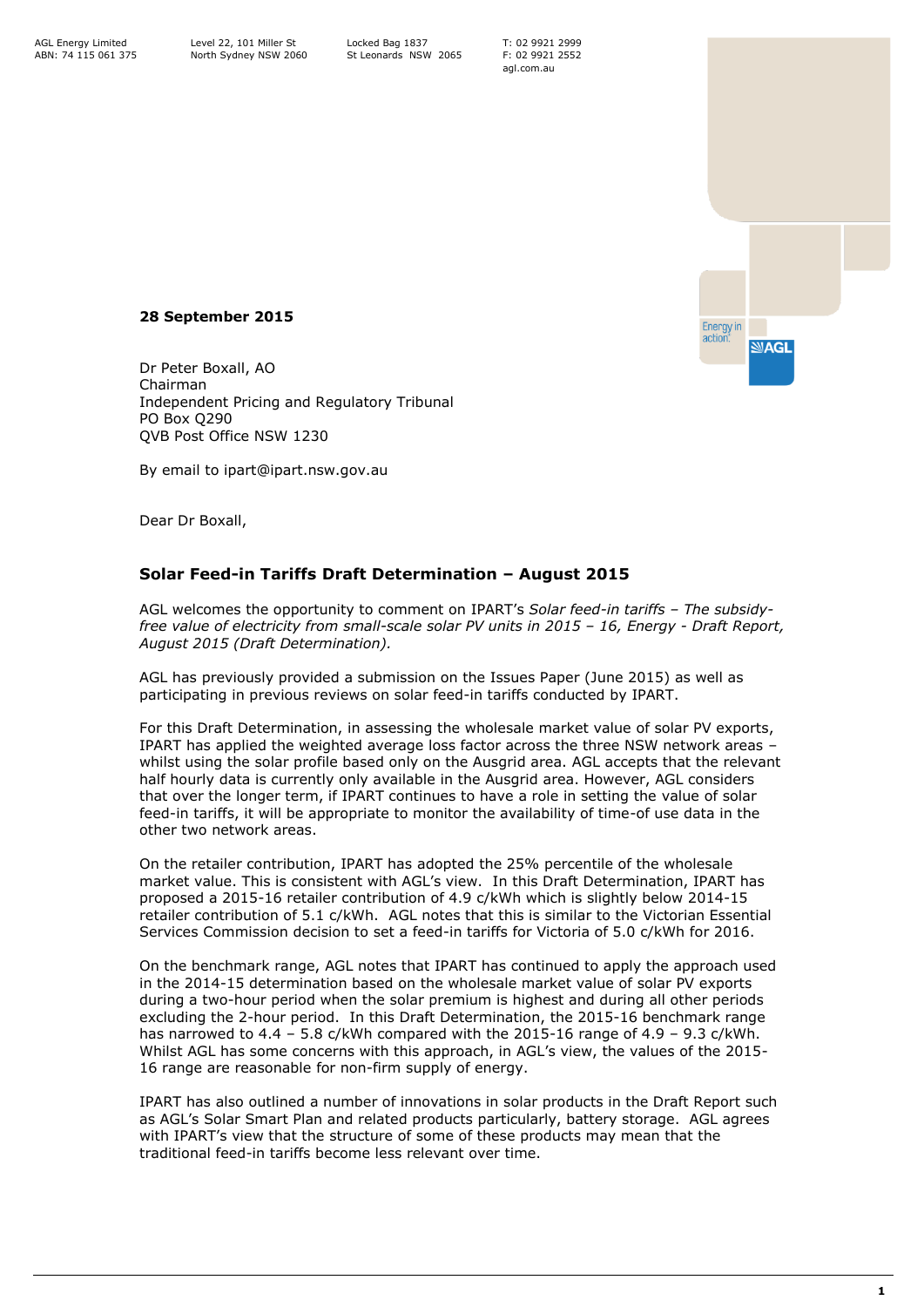T: 02 9921 2999 F: 02 9921 2552 agl.com.au

Energy in<br>action:

**MAGL** 



Dr Peter Boxall, AO Chairman Independent Pricing and Regulatory Tribunal PO Box Q290 QVB Post Office NSW 1230

By email to ipart@ipart.nsw.gov.au

Dear Dr Boxall,

## **Solar Feed-in Tariffs Draft Determination – August 2015**

AGL welcomes the opportunity to comment on IPART's *Solar feed-in tariffs – The subsidyfree value of electricity from small-scale solar PV units in 2015 – 16, Energy - Draft Report, August 2015 (Draft Determination).*

AGL has previously provided a submission on the Issues Paper (June 2015) as well as participating in previous reviews on solar feed-in tariffs conducted by IPART.

For this Draft Determination, in assessing the wholesale market value of solar PV exports, IPART has applied the weighted average loss factor across the three NSW network areas – whilst using the solar profile based only on the Ausgrid area. AGL accepts that the relevant half hourly data is currently only available in the Ausgrid area. However, AGL considers that over the longer term, if IPART continues to have a role in setting the value of solar feed-in tariffs, it will be appropriate to monitor the availability of time-of use data in the other two network areas.

On the retailer contribution, IPART has adopted the 25% percentile of the wholesale market value. This is consistent with AGL's view. In this Draft Determination, IPART has proposed a 2015-16 retailer contribution of 4.9 c/kWh which is slightly below 2014-15 retailer contribution of 5.1 c/kWh. AGL notes that this is similar to the Victorian Essential Services Commission decision to set a feed-in tariffs for Victoria of 5.0 c/kWh for 2016.

On the benchmark range, AGL notes that IPART has continued to apply the approach used in the 2014-15 determination based on the wholesale market value of solar PV exports during a two-hour period when the solar premium is highest and during all other periods excluding the 2-hour period. In this Draft Determination, the 2015-16 benchmark range has narrowed to  $4.4$  – 5.8 c/kWh compared with the 2015-16 range of  $4.9$  – 9.3 c/kWh. Whilst AGL has some concerns with this approach, in AGL's view, the values of the 2015- 16 range are reasonable for non-firm supply of energy.

IPART has also outlined a number of innovations in solar products in the Draft Report such as AGL's Solar Smart Plan and related products particularly, battery storage. AGL agrees with IPART's view that the structure of some of these products may mean that the traditional feed-in tariffs become less relevant over time.